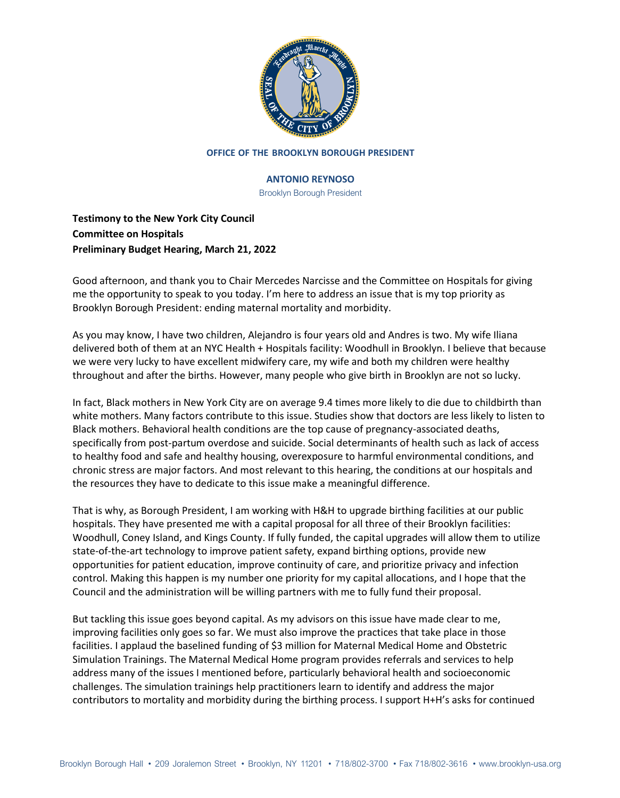

## **OFFICE OF THE BROOKLYN BOROUGH PRESIDENT**

## **ANTONIO REYNOSO**

Brooklyn Borough President

**Testimony to the New York City Council Committee on Hospitals Preliminary Budget Hearing, March 21, 2022**

Good afternoon, and thank you to Chair Mercedes Narcisse and the Committee on Hospitals for giving me the opportunity to speak to you today. I'm here to address an issue that is my top priority as Brooklyn Borough President: ending maternal mortality and morbidity.

As you may know, I have two children, Alejandro is four years old and Andres is two. My wife Iliana delivered both of them at an NYC Health + Hospitals facility: Woodhull in Brooklyn. I believe that because we were very lucky to have excellent midwifery care, my wife and both my children were healthy throughout and after the births. However, many people who give birth in Brooklyn are not so lucky.

In fact, Black mothers in New York City are on average 9.4 times more likely to die due to childbirth than white mothers. Many factors contribute to this issue. Studies show that doctors are less likely to listen to Black mothers. Behavioral health conditions are the top cause of pregnancy-associated deaths, specifically from post-partum overdose and suicide. Social determinants of health such as lack of access to healthy food and safe and healthy housing, overexposure to harmful environmental conditions, and chronic stress are major factors. And most relevant to this hearing, the conditions at our hospitals and the resources they have to dedicate to this issue make a meaningful difference.

That is why, as Borough President, I am working with H&H to upgrade birthing facilities at our public hospitals. They have presented me with a capital proposal for all three of their Brooklyn facilities: Woodhull, Coney Island, and Kings County. If fully funded, the capital upgrades will allow them to utilize state-of-the-art technology to improve patient safety, expand birthing options, provide new opportunities for patient education, improve continuity of care, and prioritize privacy and infection control. Making this happen is my number one priority for my capital allocations, and I hope that the Council and the administration will be willing partners with me to fully fund their proposal.

But tackling this issue goes beyond capital. As my advisors on this issue have made clear to me, improving facilities only goes so far. We must also improve the practices that take place in those facilities. I applaud the baselined funding of \$3 million for Maternal Medical Home and Obstetric Simulation Trainings. The Maternal Medical Home program provides referrals and services to help address many of the issues I mentioned before, particularly behavioral health and socioeconomic challenges. The simulation trainings help practitioners learn to identify and address the major contributors to mortality and morbidity during the birthing process. I support H+H's asks for continued